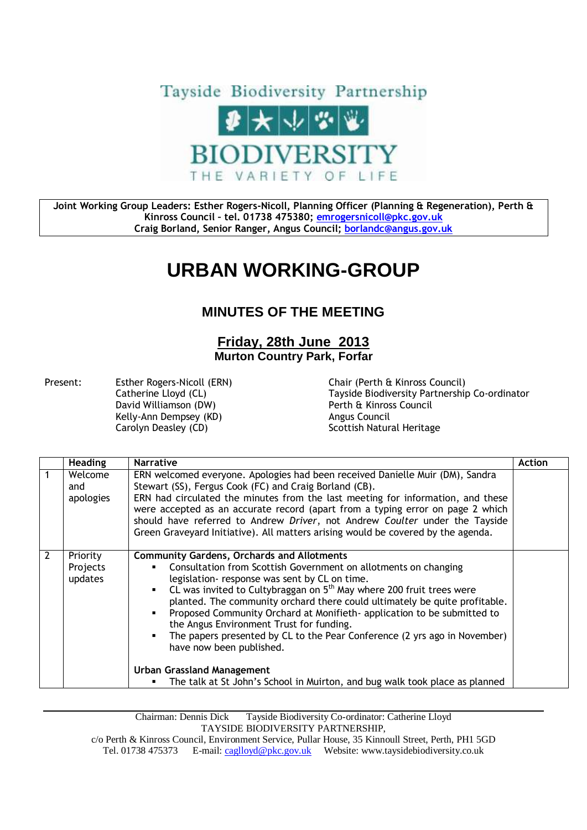

**Joint Working Group Leaders: Esther Rogers-Nicoll, Planning Officer (Planning & Regeneration), Perth & Kinross Council – tel. 01738 475380; [emrogersnicoll@pkc.gov.uk](mailto:emrogersnicoll@pkc.gov.uk) Craig Borland, Senior Ranger, Angus Council; [borlandc@angus.gov.uk](mailto:borlandc@angus.gov.uk)**

## **URBAN WORKING-GROUP**

## **MINUTES OF THE MEETING**

## **Friday, 28th June 2013 Murton Country Park, Forfar**

Present: Esther Rogers-Nicoll (ERN) Chair (Perth & Kinross Council) David Williamson (DW) <br>
Referred Burns Perth & Kinross Council<br>
Refly-Ann Dempsey (KD) Angus Council Kelly-Ann Dempsey (KD) Carolyn Deasley (CD) Scottish Natural Heritage

Catherine Lloyd (CL) Tayside Biodiversity Partnership Co-ordinator

|   | <b>Heading</b>                  | <b>Narrative</b>                                                                                                                                                                                                                                                                                                                                                                                                                                                                                                                                                                                                                                                                  | <b>Action</b> |
|---|---------------------------------|-----------------------------------------------------------------------------------------------------------------------------------------------------------------------------------------------------------------------------------------------------------------------------------------------------------------------------------------------------------------------------------------------------------------------------------------------------------------------------------------------------------------------------------------------------------------------------------------------------------------------------------------------------------------------------------|---------------|
|   | Welcome<br>and<br>apologies     | ERN welcomed everyone. Apologies had been received Danielle Muir (DM), Sandra<br>Stewart (SS), Fergus Cook (FC) and Craig Borland (CB).<br>ERN had circulated the minutes from the last meeting for information, and these<br>were accepted as an accurate record (apart from a typing error on page 2 which<br>should have referred to Andrew Driver, not Andrew Coulter under the Tayside<br>Green Graveyard Initiative). All matters arising would be covered by the agenda.                                                                                                                                                                                                   |               |
| 2 | Priority<br>Projects<br>updates | <b>Community Gardens, Orchards and Allotments</b><br>Consultation from Scottish Government on allotments on changing<br>legislation- response was sent by CL on time.<br>CL was invited to Cultybraggan on $5th$ May where 200 fruit trees were<br>planted. The community orchard there could ultimately be quite profitable.<br>Proposed Community Orchard at Monifieth- application to be submitted to<br>the Angus Environment Trust for funding.<br>The papers presented by CL to the Pear Conference (2 yrs ago in November)<br>have now been published.<br><b>Urban Grassland Management</b><br>The talk at St John's School in Muirton, and bug walk took place as planned |               |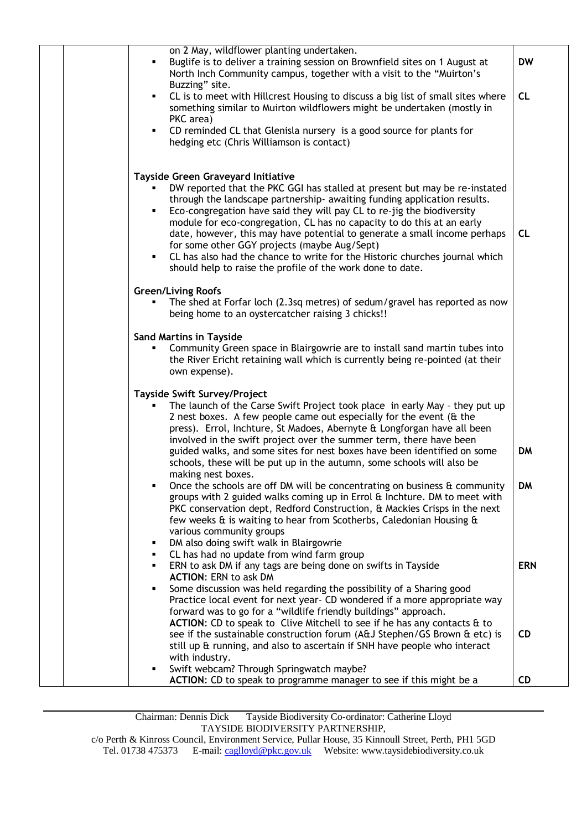| on 2 May, wildflower planting undertaken.<br>Buglife is to deliver a training session on Brownfield sites on 1 August at<br>North Inch Community campus, together with a visit to the "Muirton's<br>Buzzing" site.                                                                                                                                                                                                                                                                                                                                                                                                                     | <b>DW</b>  |
|----------------------------------------------------------------------------------------------------------------------------------------------------------------------------------------------------------------------------------------------------------------------------------------------------------------------------------------------------------------------------------------------------------------------------------------------------------------------------------------------------------------------------------------------------------------------------------------------------------------------------------------|------------|
| CL is to meet with Hillcrest Housing to discuss a big list of small sites where<br>٠<br>something similar to Muirton wildflowers might be undertaken (mostly in<br>PKC area)                                                                                                                                                                                                                                                                                                                                                                                                                                                           | CL         |
| CD reminded CL that Glenisla nursery is a good source for plants for<br>٠<br>hedging etc (Chris Williamson is contact)                                                                                                                                                                                                                                                                                                                                                                                                                                                                                                                 |            |
| <b>Tayside Green Graveyard Initiative</b><br>DW reported that the PKC GGI has stalled at present but may be re-instated<br>through the landscape partnership- awaiting funding application results.<br>Eco-congregation have said they will pay CL to re-jig the biodiversity<br>٠<br>module for eco-congregation, CL has no capacity to do this at an early<br>date, however, this may have potential to generate a small income perhaps<br>for some other GGY projects (maybe Aug/Sept)<br>CL has also had the chance to write for the Historic churches journal which<br>should help to raise the profile of the work done to date. | CL         |
| <b>Green/Living Roofs</b><br>The shed at Forfar loch (2.3sq metres) of sedum/gravel has reported as now<br>being home to an oystercatcher raising 3 chicks!!                                                                                                                                                                                                                                                                                                                                                                                                                                                                           |            |
| <b>Sand Martins in Tayside</b><br>Community Green space in Blairgowrie are to install sand martin tubes into<br>the River Ericht retaining wall which is currently being re-pointed (at their<br>own expense).                                                                                                                                                                                                                                                                                                                                                                                                                         |            |
| <b>Tayside Swift Survey/Project</b><br>The launch of the Carse Swift Project took place in early May - they put up<br>2 nest boxes. A few people came out especially for the event (& the<br>press). Errol, Inchture, St Madoes, Abernyte & Longforgan have all been<br>involved in the swift project over the summer term, there have been<br>guided walks, and some sites for nest boxes have been identified on some<br>schools, these will be put up in the autumn, some schools will also be                                                                                                                                      | <b>DM</b>  |
| making nest boxes.<br>Once the schools are off DM will be concentrating on business & community<br>groups with 2 guided walks coming up in Errol & Inchture. DM to meet with<br>PKC conservation dept, Redford Construction, & Mackies Crisps in the next<br>few weeks & is waiting to hear from Scotherbs, Caledonian Housing &<br>various community groups<br>DM also doing swift walk in Blairgowrie<br>٠                                                                                                                                                                                                                           | <b>DM</b>  |
| CL has had no update from wind farm group<br>٠<br>ERN to ask DM if any tags are being done on swifts in Tayside<br><b>ACTION: ERN to ask DM</b><br>Some discussion was held regarding the possibility of a Sharing good<br>٠<br>Practice local event for next year- CD wondered if a more appropriate way<br>forward was to go for a "wildlife friendly buildings" approach.                                                                                                                                                                                                                                                           | <b>ERN</b> |
| ACTION: CD to speak to Clive Mitchell to see if he has any contacts & to<br>see if the sustainable construction forum (A&J Stephen/GS Brown & etc) is<br>still up & running, and also to ascertain if SNH have people who interact<br>with industry.<br>Swift webcam? Through Springwatch maybe?                                                                                                                                                                                                                                                                                                                                       | <b>CD</b>  |
| ACTION: CD to speak to programme manager to see if this might be a                                                                                                                                                                                                                                                                                                                                                                                                                                                                                                                                                                     | <b>CD</b>  |

Chairman: Dennis Dick Tayside Biodiversity Co-ordinator: Catherine Lloyd TAYSIDE BIODIVERSITY PARTNERSHIP,

c/o Perth & Kinross Council, Environment Service, Pullar House, 35 Kinnoull Street, Perth, PH1 5GD Tel. 01738 475373 E-mail[: caglloyd@pkc.gov.uk](mailto:caglloyd@pkc.gov.uk) Website: www.taysidebiodiversity.co.uk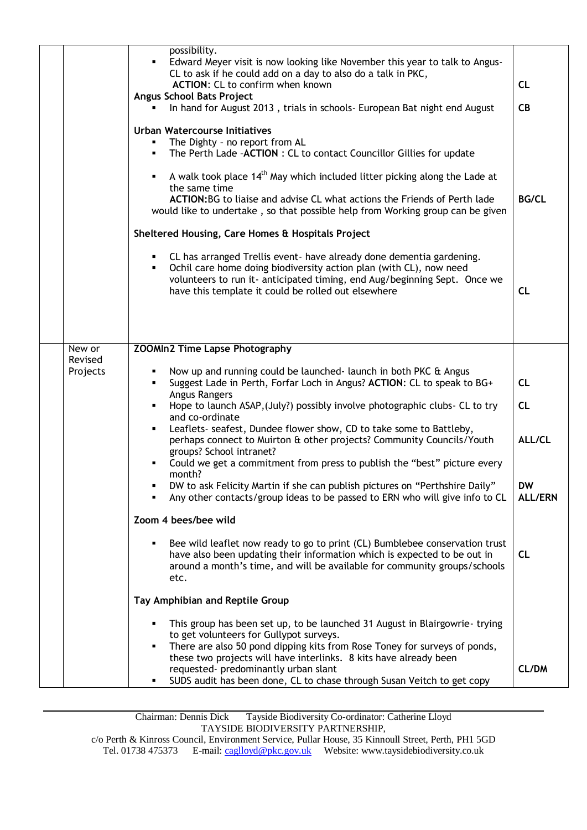|                               | possibility.<br>Edward Meyer visit is now looking like November this year to talk to Angus-<br>CL to ask if he could add on a day to also do a talk in PKC,<br>ACTION: CL to confirm when known<br>Angus School Bats Project<br>In hand for August 2013, trials in schools- European Bat night end August<br><b>Urban Watercourse Initiatives</b><br>The Dighty - no report from AL<br>The Perth Lade -ACTION : CL to contact Councillor Gillies for update<br>٠<br>A walk took place 14 <sup>th</sup> May which included litter picking along the Lade at<br>the same time<br>ACTION:BG to liaise and advise CL what actions the Friends of Perth lade<br>would like to undertake, so that possible help from Working group can be given<br>Sheltered Housing, Care Homes & Hospitals Project<br>CL has arranged Trellis event- have already done dementia gardening.<br>Ochil care home doing biodiversity action plan (with CL), now need<br>volunteers to run it- anticipated timing, end Aug/beginning Sept. Once we<br>have this template it could be rolled out elsewhere                                                                                                                                                                         | <b>CL</b><br><b>CB</b><br><b>BG/CL</b><br><b>CL</b>            |
|-------------------------------|----------------------------------------------------------------------------------------------------------------------------------------------------------------------------------------------------------------------------------------------------------------------------------------------------------------------------------------------------------------------------------------------------------------------------------------------------------------------------------------------------------------------------------------------------------------------------------------------------------------------------------------------------------------------------------------------------------------------------------------------------------------------------------------------------------------------------------------------------------------------------------------------------------------------------------------------------------------------------------------------------------------------------------------------------------------------------------------------------------------------------------------------------------------------------------------------------------------------------------------------------------|----------------------------------------------------------------|
| New or<br>Revised<br>Projects | <b>ZOOMIn2 Time Lapse Photography</b><br>Now up and running could be launched- launch in both PKC & Angus<br>Suggest Lade in Perth, Forfar Loch in Angus? ACTION: CL to speak to BG+<br>Angus Rangers<br>Hope to launch ASAP, (July?) possibly involve photographic clubs- CL to try<br>and co-ordinate<br>Leaflets- seafest, Dundee flower show, CD to take some to Battleby,<br>perhaps connect to Muirton & other projects? Community Councils/Youth<br>groups? School intranet?<br>Could we get a commitment from press to publish the "best" picture every<br>month?<br>DW to ask Felicity Martin if she can publish pictures on "Perthshire Daily"<br>Any other contacts/group ideas to be passed to ERN who will give info to CL<br>Zoom 4 bees/bee wild<br>Bee wild leaflet now ready to go to print (CL) Bumblebee conservation trust<br>have also been updating their information which is expected to be out in<br>around a month's time, and will be available for community groups/schools<br>etc.<br>Tay Amphibian and Reptile Group<br>This group has been set up, to be launched 31 August in Blairgowrie-trying<br>to get volunteers for Gullypot surveys.<br>There are also 50 pond dipping kits from Rose Toney for surveys of ponds, | CL<br>CL<br>ALL/CL<br><b>DW</b><br><b>ALL/ERN</b><br><b>CL</b> |
|                               | these two projects will have interlinks. 8 kits have already been<br>requested- predominantly urban slant<br>SUDS audit has been done, CL to chase through Susan Veitch to get copy                                                                                                                                                                                                                                                                                                                                                                                                                                                                                                                                                                                                                                                                                                                                                                                                                                                                                                                                                                                                                                                                      | <b>CL/DM</b>                                                   |

Chairman: Dennis Dick Tayside Biodiversity Co-ordinator: Catherine Lloyd TAYSIDE BIODIVERSITY PARTNERSHIP,

c/o Perth & Kinross Council, Environment Service, Pullar House, 35 Kinnoull Street, Perth, PH1 5GD Tel. 01738 475373 E-mail[: caglloyd@pkc.gov.uk](mailto:caglloyd@pkc.gov.uk) Website: www.taysidebiodiversity.co.uk